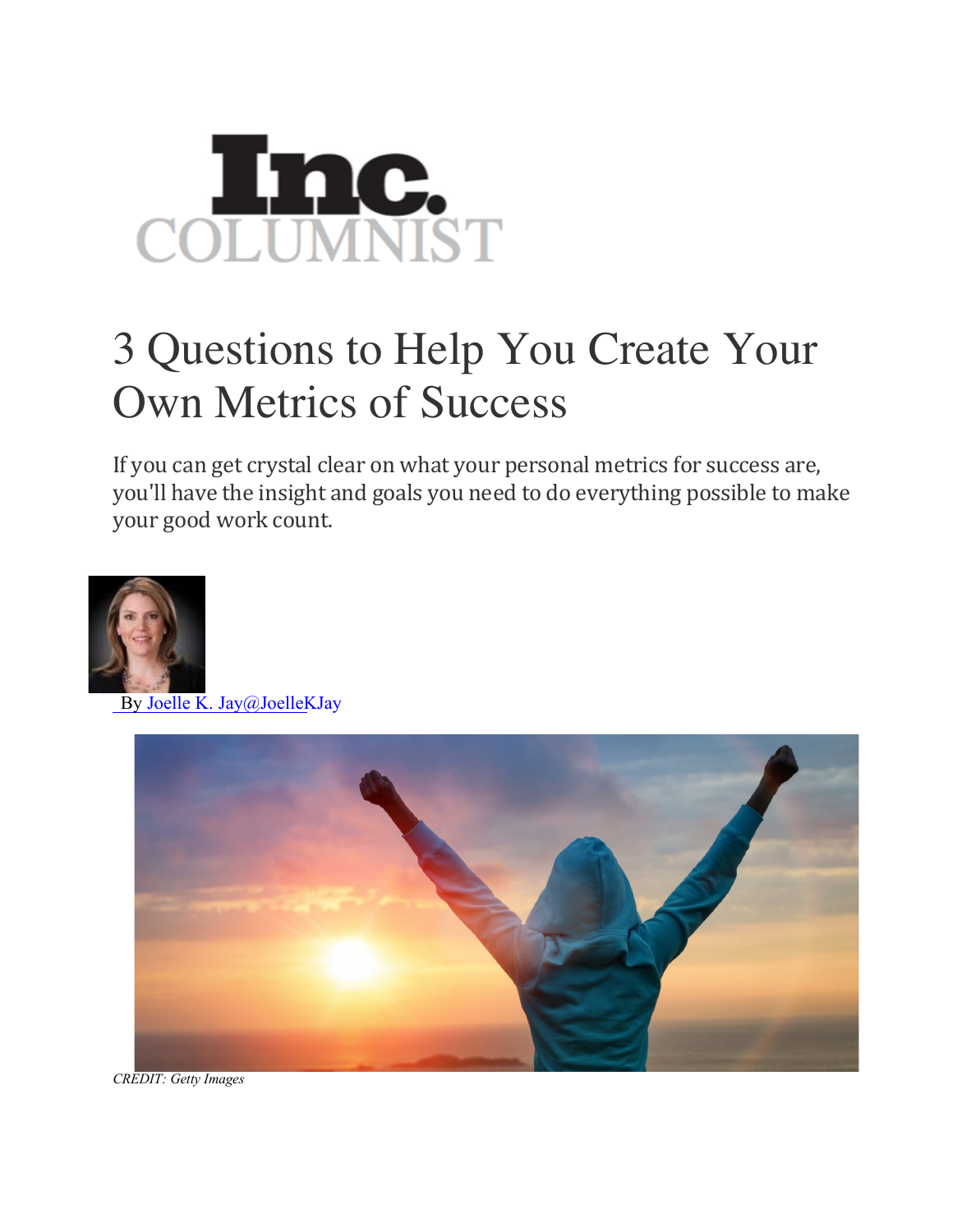

## 3 Questions to Help You Create Your Own Metrics of Success

If you can get crystal clear on what your personal metrics for success are, you'll have the insight and goals you need to do everything possible to make your good work count.



By Joelle K. Jay@JoelleKJay



*CREDIT: Getty Images*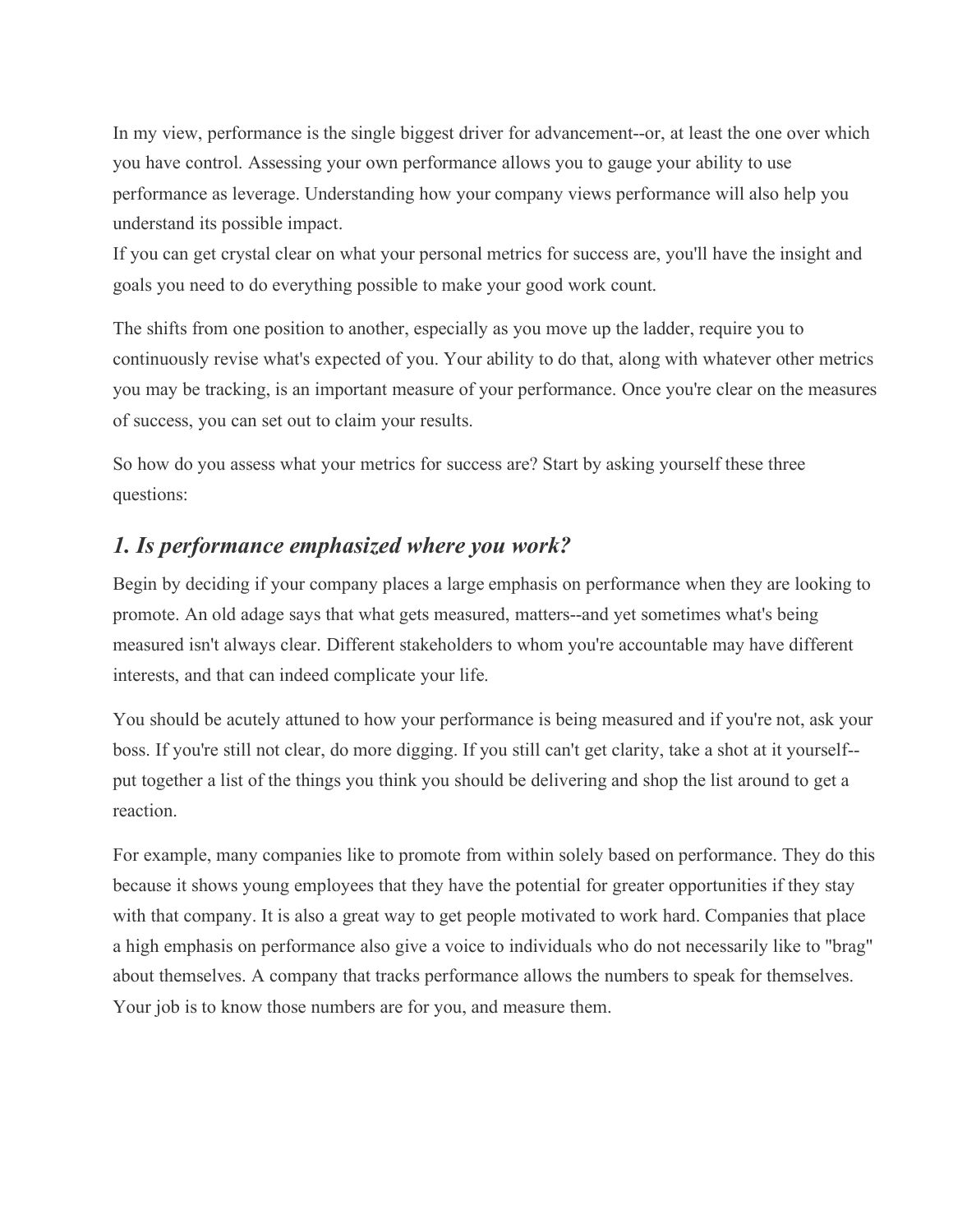In my view, performance is the single biggest driver for advancement--or, at least the one over which you have control. Assessing your own performance allows you to gauge your ability to use performance as leverage. Understanding how your company views performance will also help you understand its possible impact.

If you can get crystal clear on what your personal metrics for success are, you'll have the insight and goals you need to do everything possible to make your good work count.

The shifts from one position to another, especially as you move up the ladder, require you to continuously revise what's expected of you. Your ability to do that, along with whatever other metrics you may be tracking, is an important measure of your performance. Once you're clear on the measures of success, you can set out to claim your results.

So how do you assess what your metrics for success are? Start by asking yourself these three questions:

## *1. Is performance emphasized where you work?*

Begin by deciding if your company places a large emphasis on performance when they are looking to promote. An old adage says that what gets measured, matters--and yet sometimes what's being measured isn't always clear. Different stakeholders to whom you're accountable may have different interests, and that can indeed complicate your life.

You should be acutely attuned to how your performance is being measured and if you're not, ask your boss. If you're still not clear, do more digging. If you still can't get clarity, take a shot at it yourself- put together a list of the things you think you should be delivering and shop the list around to get a reaction.

For example, many companies like to promote from within solely based on performance. They do this because it shows young employees that they have the potential for greater opportunities if they stay with that company. It is also a great way to get people motivated to work hard. Companies that place a high emphasis on performance also give a voice to individuals who do not necessarily like to "brag" about themselves. A company that tracks performance allows the numbers to speak for themselves. Your job is to know those numbers are for you, and measure them.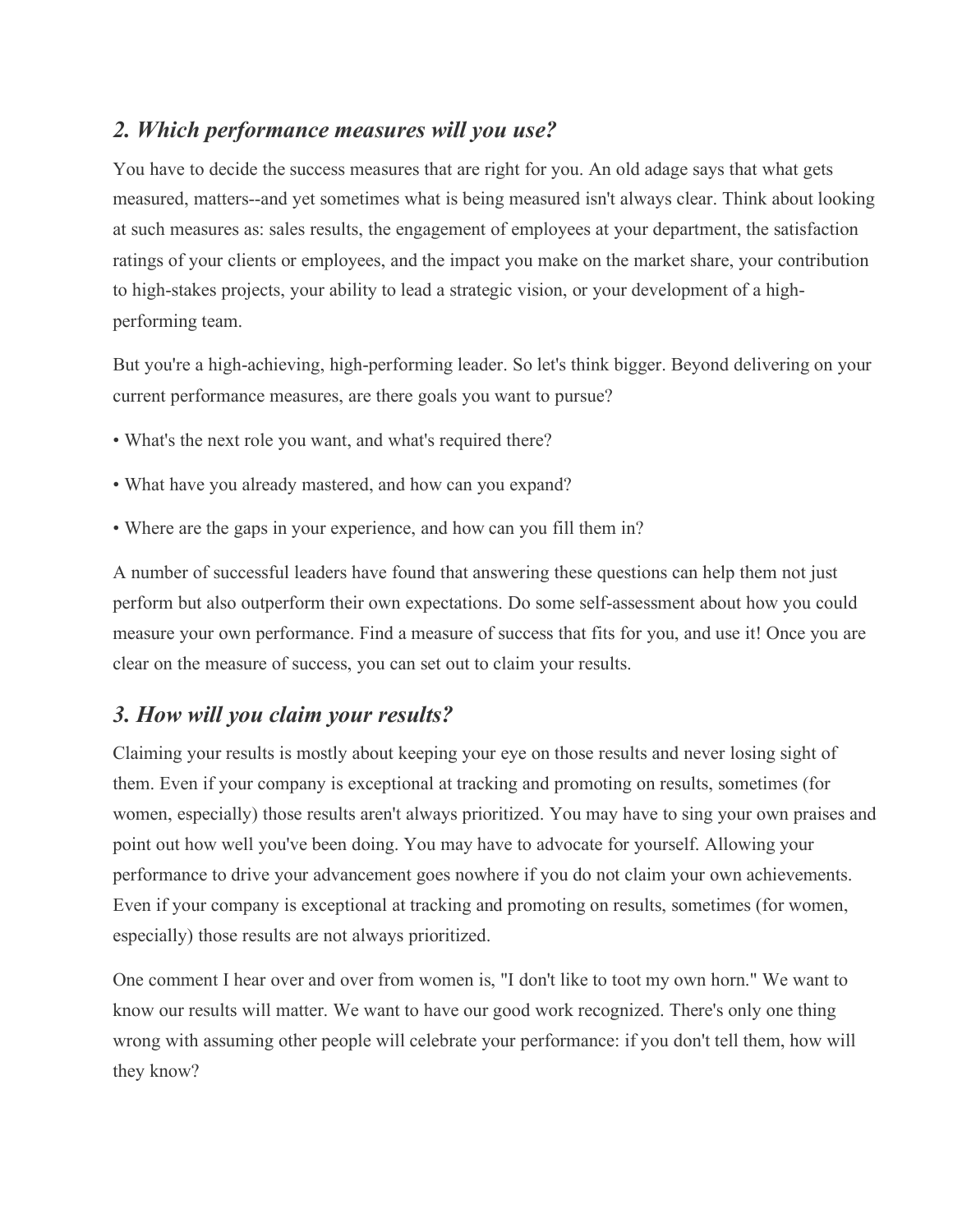## *2. Which performance measures will you use?*

You have to decide the success measures that are right for you. An old adage says that what gets measured, matters--and yet sometimes what is being measured isn't always clear. Think about looking at such measures as: sales results, the engagement of employees at your department, the satisfaction ratings of your clients or employees, and the impact you make on the market share, your contribution to high-stakes projects, your ability to lead a strategic vision, or your development of a highperforming team.

But you're a high-achieving, high-performing leader. So let's think bigger. Beyond delivering on your current performance measures, are there goals you want to pursue?

- What's the next role you want, and what's required there?
- What have you already mastered, and how can you expand?
- Where are the gaps in your experience, and how can you fill them in?

A number of successful leaders have found that answering these questions can help them not just perform but also outperform their own expectations. Do some self-assessment about how you could measure your own performance. Find a measure of success that fits for you, and use it! Once you are clear on the measure of success, you can set out to claim your results.

## *3. How will you claim your results?*

Claiming your results is mostly about keeping your eye on those results and never losing sight of them. Even if your company is exceptional at tracking and promoting on results, sometimes (for women, especially) those results aren't always prioritized. You may have to sing your own praises and point out how well you've been doing. You may have to advocate for yourself. Allowing your performance to drive your advancement goes nowhere if you do not claim your own achievements. Even if your company is exceptional at tracking and promoting on results, sometimes (for women, especially) those results are not always prioritized.

One comment I hear over and over from women is, "I don't like to toot my own horn." We want to know our results will matter. We want to have our good work recognized. There's only one thing wrong with assuming other people will celebrate your performance: if you don't tell them, how will they know?